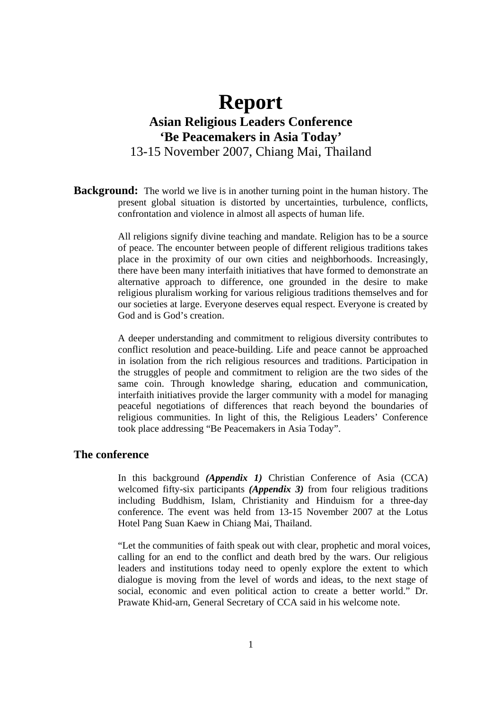# **Report Asian Religious Leaders Conference 'Be Peacemakers in Asia Today'**  13-15 November 2007, Chiang Mai, Thailand

**Background:** The world we live is in another turning point in the human history. The present global situation is distorted by uncertainties, turbulence, conflicts, confrontation and violence in almost all aspects of human life.

> All religions signify divine teaching and mandate. Religion has to be a source of peace. The encounter between people of different religious traditions takes place in the proximity of our own cities and neighborhoods. Increasingly, there have been many interfaith initiatives that have formed to demonstrate an alternative approach to difference, one grounded in the desire to make religious pluralism working for various religious traditions themselves and for our societies at large. Everyone deserves equal respect. Everyone is created by God and is God's creation.

> A deeper understanding and commitment to religious diversity contributes to conflict resolution and peace-building. Life and peace cannot be approached in isolation from the rich religious resources and traditions. Participation in the struggles of people and commitment to religion are the two sides of the same coin. Through knowledge sharing, education and communication, interfaith initiatives provide the larger community with a model for managing peaceful negotiations of differences that reach beyond the boundaries of religious communities. In light of this, the Religious Leaders' Conference took place addressing "Be Peacemakers in Asia Today".

### **The conference**

In this background *(Appendix 1)* Christian Conference of Asia (CCA) welcomed fifty-six participants *(Appendix 3)* from four religious traditions including Buddhism, Islam, Christianity and Hinduism for a three-day conference. The event was held from 13-15 November 2007 at the Lotus Hotel Pang Suan Kaew in Chiang Mai, Thailand.

"Let the communities of faith speak out with clear, prophetic and moral voices, calling for an end to the conflict and death bred by the wars. Our religious leaders and institutions today need to openly explore the extent to which dialogue is moving from the level of words and ideas, to the next stage of social, economic and even political action to create a better world." Dr. Prawate Khid-arn, General Secretary of CCA said in his welcome note.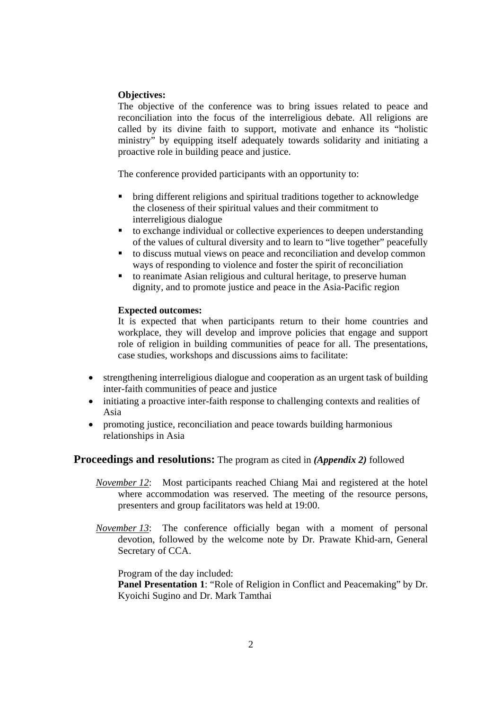### **Objectives:**

The objective of the conference was to bring issues related to peace and reconciliation into the focus of the interreligious debate. All religions are called by its divine faith to support, motivate and enhance its "holistic ministry" by equipping itself adequately towards solidarity and initiating a proactive role in building peace and justice.

The conference provided participants with an opportunity to:

- bring different religions and spiritual traditions together to acknowledge the closeness of their spiritual values and their commitment to interreligious dialogue
- to exchange individual or collective experiences to deepen understanding of the values of cultural diversity and to learn to "live together" peacefully
- to discuss mutual views on peace and reconciliation and develop common ways of responding to violence and foster the spirit of reconciliation
- to reanimate Asian religious and cultural heritage, to preserve human dignity, and to promote justice and peace in the Asia-Pacific region

#### **Expected outcomes:**

It is expected that when participants return to their home countries and workplace, they will develop and improve policies that engage and support role of religion in building communities of peace for all. The presentations, case studies, workshops and discussions aims to facilitate:

- strengthening interreligious dialogue and cooperation as an urgent task of building inter-faith communities of peace and justice
- initiating a proactive inter-faith response to challenging contexts and realities of Asia
- promoting justice, reconciliation and peace towards building harmonious relationships in Asia

#### **Proceedings and resolutions:** The program as cited in *(Appendix 2)* followed

- *November 12*: Most participants reached Chiang Mai and registered at the hotel where accommodation was reserved. The meeting of the resource persons, presenters and group facilitators was held at 19:00.
- *November 13*: The conference officially began with a moment of personal devotion, followed by the welcome note by Dr. Prawate Khid-arn, General Secretary of CCA.

Program of the day included:

**Panel Presentation 1**: "Role of Religion in Conflict and Peacemaking" by Dr. Kyoichi Sugino and Dr. Mark Tamthai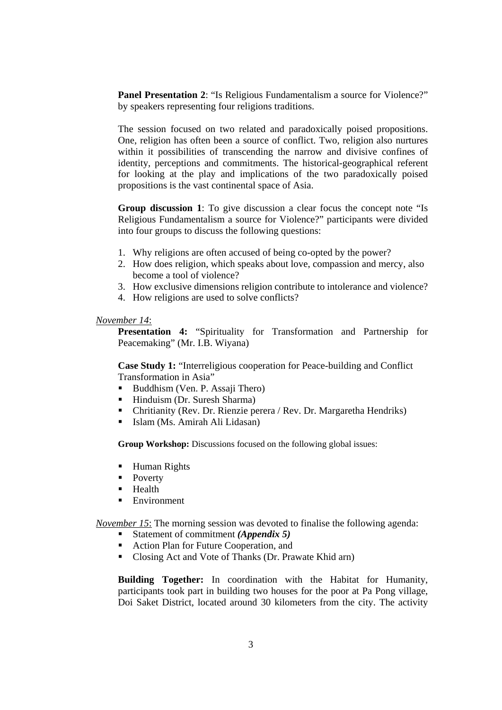**Panel Presentation 2:** "Is Religious Fundamentalism a source for Violence?" by speakers representing four religions traditions.

The session focused on two related and paradoxically poised propositions. One, religion has often been a source of conflict. Two, religion also nurtures within it possibilities of transcending the narrow and divisive confines of identity, perceptions and commitments. The historical-geographical referent for looking at the play and implications of the two paradoxically poised propositions is the vast continental space of Asia.

**Group discussion 1**: To give discussion a clear focus the concept note "Is Religious Fundamentalism a source for Violence?" participants were divided into four groups to discuss the following questions:

- 1. Why religions are often accused of being co-opted by the power?
- 2. How does religion, which speaks about love, compassion and mercy, also become a tool of violence?
- 3. How exclusive dimensions religion contribute to intolerance and violence?
- 4. How religions are used to solve conflicts?

#### *November 14*:

**Presentation 4:** "Spirituality for Transformation and Partnership for Peacemaking" (Mr. I.B. Wiyana)

**Case Study 1:** "Interreligious cooperation for Peace-building and Conflict Transformation in Asia"

- Buddhism (Ven. P. Assaji Thero)
- Hinduism (Dr. Suresh Sharma)
- Chritianity (Rev. Dr. Rienzie perera / Rev. Dr. Margaretha Hendriks)
- Islam (Ms. Amirah Ali Lidasan)

**Group Workshop:** Discussions focused on the following global issues:

- **Human Rights**
- Poverty
- $H$  Health
- **Environment**

*November 15*: The morning session was devoted to finalise the following agenda:

- Statement of commitment *(Appendix 5)*
- Action Plan for Future Cooperation, and
- Closing Act and Vote of Thanks (Dr. Prawate Khid arn)

**Building Together:** In coordination with the Habitat for Humanity, participants took part in building two houses for the poor at Pa Pong village, Doi Saket District, located around 30 kilometers from the city. The activity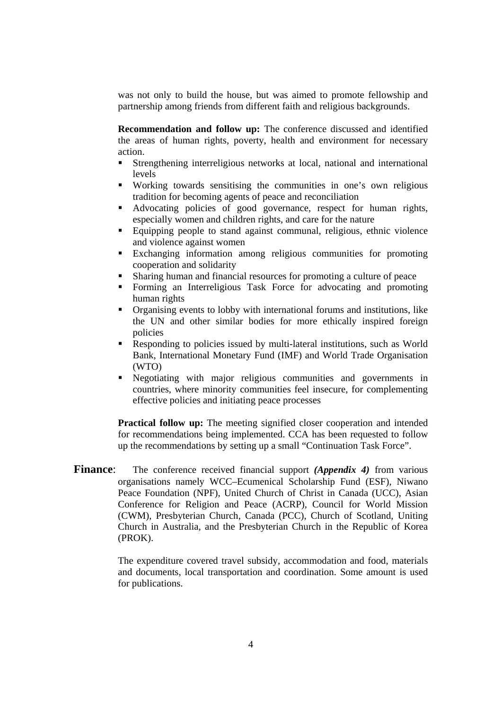was not only to build the house, but was aimed to promote fellowship and partnership among friends from different faith and religious backgrounds.

**Recommendation and follow up:** The conference discussed and identified the areas of human rights, poverty, health and environment for necessary action.

- Strengthening interreligious networks at local, national and international levels
- Working towards sensitising the communities in one's own religious tradition for becoming agents of peace and reconciliation
- Advocating policies of good governance, respect for human rights, especially women and children rights, and care for the nature
- Equipping people to stand against communal, religious, ethnic violence and violence against women
- Exchanging information among religious communities for promoting cooperation and solidarity
- Sharing human and financial resources for promoting a culture of peace
- Forming an Interreligious Task Force for advocating and promoting human rights
- Organising events to lobby with international forums and institutions, like the UN and other similar bodies for more ethically inspired foreign policies
- Responding to policies issued by multi-lateral institutions, such as World Bank, International Monetary Fund (IMF) and World Trade Organisation (WTO)
- Negotiating with major religious communities and governments in countries, where minority communities feel insecure, for complementing effective policies and initiating peace processes

**Practical follow up:** The meeting signified closer cooperation and intended for recommendations being implemented. CCA has been requested to follow up the recommendations by setting up a small "Continuation Task Force".

**Finance:** The conference received financial support *(Appendix 4)* from various organisations namely WCC–Ecumenical Scholarship Fund (ESF), Niwano Peace Foundation (NPF), United Church of Christ in Canada (UCC), Asian Conference for Religion and Peace (ACRP), Council for World Mission (CWM), Presbyterian Church, Canada (PCC), Church of Scotland, Uniting Church in Australia, and the Presbyterian Church in the Republic of Korea (PROK).

> The expenditure covered travel subsidy, accommodation and food, materials and documents, local transportation and coordination. Some amount is used for publications.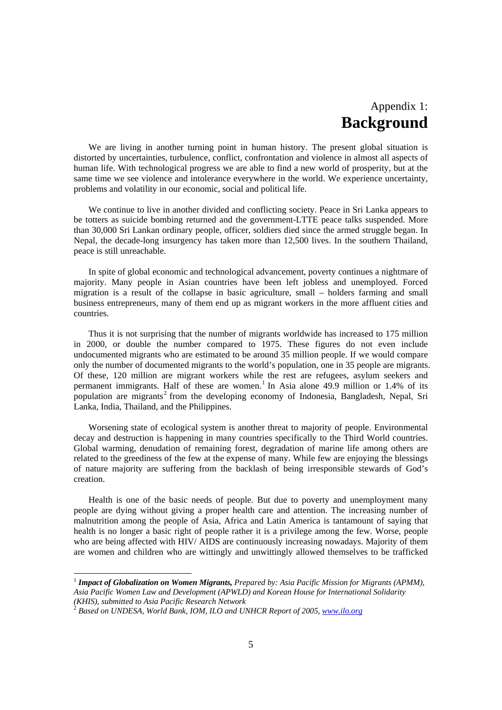### Appendix 1: **Background**

We are living in another turning point in human history. The present global situation is distorted by uncertainties, turbulence, conflict, confrontation and violence in almost all aspects of human life. With technological progress we are able to find a new world of prosperity, but at the same time we see violence and intolerance everywhere in the world. We experience uncertainty, problems and volatility in our economic, social and political life.

We continue to live in another divided and conflicting society. Peace in Sri Lanka appears to be totters as suicide bombing returned and the government-LTTE peace talks suspended. More than 30,000 Sri Lankan ordinary people, officer, soldiers died since the armed struggle began. In Nepal, the decade-long insurgency has taken more than 12,500 lives. In the southern Thailand, peace is still unreachable.

In spite of global economic and technological advancement, poverty continues a nightmare of majority. Many people in Asian countries have been left jobless and unemployed. Forced migration is a result of the collapse in basic agriculture, small – holders farming and small business entrepreneurs, many of them end up as migrant workers in the more affluent cities and countries.

Thus it is not surprising that the number of migrants worldwide has increased to 175 million in 2000, or double the number compared to 1975. These figures do not even include undocumented migrants who are estimated to be around 35 million people. If we would compare only the number of documented migrants to the world's population, one in 35 people are migrants. Of these, 120 million are migrant workers while the rest are refugees, asylum seekers and permanent immigrants. Half of these are women.<sup>1</sup> In Asia alone 49.9 million or 1.4% of its population are migrants<sup>2</sup> from the developing economy of Indonesia, Bangladesh, Nepal, Sri Lanka, India, Thailand, and the Philippines.

Worsening state of ecological system is another threat to majority of people. Environmental decay and destruction is happening in many countries specifically to the Third World countries. Global warming, denudation of remaining forest, degradation of marine life among others are related to the greediness of the few at the expense of many. While few are enjoying the blessings of nature majority are suffering from the backlash of being irresponsible stewards of God's creation.

Health is one of the basic needs of people. But due to poverty and unemployment many people are dying without giving a proper health care and attention. The increasing number of malnutrition among the people of Asia, Africa and Latin America is tantamount of saying that health is no longer a basic right of people rather it is a privilege among the few. Worse, people who are being affected with HIV/ AIDS are continuously increasing nowadays. Majority of them are women and children who are wittingly and unwittingly allowed themselves to be trafficked

 $\overline{a}$ 

<sup>&</sup>lt;sup>1</sup> *Impact of Globalization on Women Migrants, Prepared by: Asia Pacific Mission for Migrants (APMM), Asia Pacific Women Law and Development (APWLD) and Korean House for International Solidarity (KHIS), submitted to Asia Pacific Research Network*

<sup>2</sup> *Based on UNDESA, World Bank, IOM, ILO and UNHCR Report of 2005, www.ilo.org*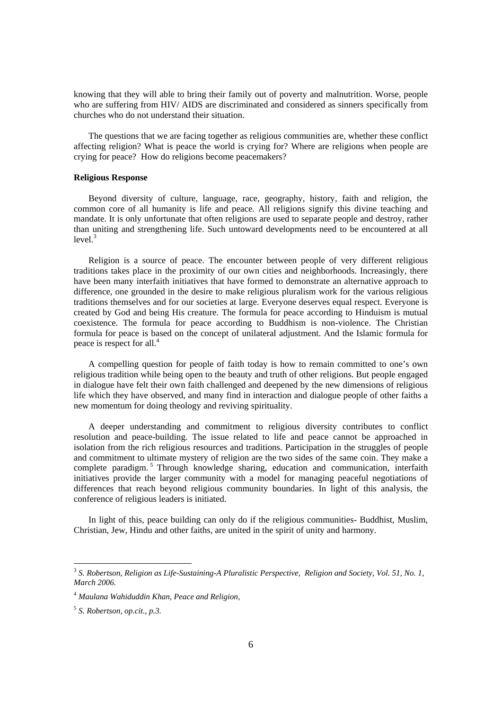knowing that they will able to bring their family out of poverty and malnutrition. Worse, people who are suffering from HIV/ AIDS are discriminated and considered as sinners specifically from churches who do not understand their situation.

The questions that we are facing together as religious communities are, whether these conflict affecting religion? What is peace the world is crying for? Where are religions when people are crying for peace? How do religions become peacemakers?

#### **Religious Response**

Beyond diversity of culture, language, race, geography, history, faith and religion, the common core of all humanity is life and peace. All religions signify this divine teaching and mandate. It is only unfortunate that often religions are used to separate people and destroy, rather than uniting and strengthening life. Such untoward developments need to be encountered at all  $level.<sup>3</sup>$ 

Religion is a source of peace. The encounter between people of very different religious traditions takes place in the proximity of our own cities and neighborhoods. Increasingly, there have been many interfaith initiatives that have formed to demonstrate an alternative approach to difference, one grounded in the desire to make religious pluralism work for the various religious traditions themselves and for our societies at large. Everyone deserves equal respect. Everyone is created by God and being His creature. The formula for peace according to Hinduism is mutual coexistence. The formula for peace according to Buddhism is non-violence. The Christian formula for peace is based on the concept of unilateral adjustment. And the Islamic formula for peace is respect for all.4

A compelling question for people of faith today is how to remain committed to one's own religious tradition while being open to the beauty and truth of other religions. But people engaged in dialogue have felt their own faith challenged and deepened by the new dimensions of religious life which they have observed, and many find in interaction and dialogue people of other faiths a new momentum for doing theology and reviving spirituality.

A deeper understanding and commitment to religious diversity contributes to conflict resolution and peace-building. The issue related to life and peace cannot be approached in isolation from the rich religious resources and traditions. Participation in the struggles of people and commitment to ultimate mystery of religion are the two sides of the same coin. They make a complete paradigm.<sup>5</sup> Through knowledge sharing, education and communication, interfaith initiatives provide the larger community with a model for managing peaceful negotiations of differences that reach beyond religious community boundaries. In light of this analysis, the conference of religious leaders is initiated.

In light of this, peace building can only do if the religious communities- Buddhist, Muslim, Christian, Jew, Hindu and other faiths, are united in the spirit of unity and harmony.

 $\overline{a}$ 

<sup>3</sup> *S. Robertson, Religion as Life-Sustaining-A Pluralistic Perspective, Religion and Society, Vol. 51, No. 1, March 2006.*

<sup>4</sup> *Maulana Wahiduddin Khan, Peace and Religion,*

<sup>5</sup> *S. Robertson, op.cit., p.3.*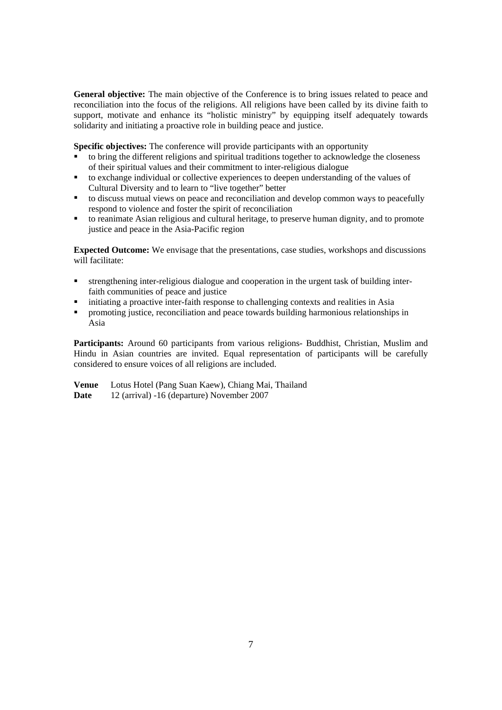**General objective:** The main objective of the Conference is to bring issues related to peace and reconciliation into the focus of the religions. All religions have been called by its divine faith to support, motivate and enhance its "holistic ministry" by equipping itself adequately towards solidarity and initiating a proactive role in building peace and justice.

**Specific objectives:** The conference will provide participants with an opportunity

- to bring the different religions and spiritual traditions together to acknowledge the closeness of their spiritual values and their commitment to inter-religious dialogue
- to exchange individual or collective experiences to deepen understanding of the values of Cultural Diversity and to learn to "live together" better
- to discuss mutual views on peace and reconciliation and develop common ways to peacefully respond to violence and foster the spirit of reconciliation
- to reanimate Asian religious and cultural heritage, to preserve human dignity, and to promote justice and peace in the Asia-Pacific region

**Expected Outcome:** We envisage that the presentations, case studies, workshops and discussions will facilitate:

- strengthening inter-religious dialogue and cooperation in the urgent task of building interfaith communities of peace and justice
- initiating a proactive inter-faith response to challenging contexts and realities in Asia
- promoting justice, reconciliation and peace towards building harmonious relationships in Asia

**Participants:** Around 60 participants from various religions- Buddhist, Christian, Muslim and Hindu in Asian countries are invited. Equal representation of participants will be carefully considered to ensure voices of all religions are included.

**Venue** Lotus Hotel (Pang Suan Kaew), Chiang Mai, Thailand **Date** 12 (arrival) -16 (departure) November 2007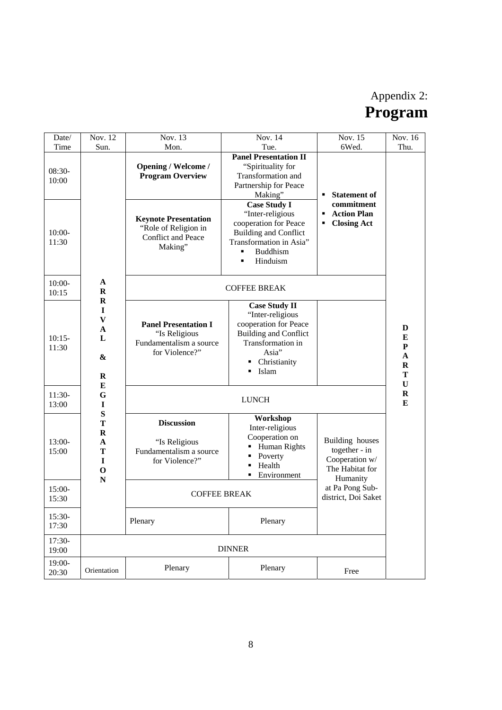## Appendix 2: **Program**

| Date/                       | Nov. 12                                                                                              | Nov. 13                                                                                                                            | Nov. 14                                                                                                                                                                                                         | Nov. 15                                                                                              | Nov. 16                                        |
|-----------------------------|------------------------------------------------------------------------------------------------------|------------------------------------------------------------------------------------------------------------------------------------|-----------------------------------------------------------------------------------------------------------------------------------------------------------------------------------------------------------------|------------------------------------------------------------------------------------------------------|------------------------------------------------|
| Time                        | Sun.                                                                                                 | Mon.                                                                                                                               | Tue.                                                                                                                                                                                                            | 6Wed.                                                                                                | Thu.                                           |
| 08:30-<br>10:00<br>$10:00-$ |                                                                                                      | <b>Opening / Welcome /</b><br><b>Program Overview</b><br><b>Keynote Presentation</b><br>"Role of Religion in<br>Conflict and Peace | <b>Panel Presentation II</b><br>"Spirituality for<br>Transformation and<br>Partnership for Peace<br>Making"<br><b>Case Study I</b><br>"Inter-religious<br>cooperation for Peace<br><b>Building and Conflict</b> | <b>Statement of</b><br>٠<br>commitment<br><b>Action Plan</b><br>$\blacksquare$<br><b>Closing Act</b> |                                                |
| 11:30                       |                                                                                                      | Making"                                                                                                                            | Transformation in Asia"<br><b>Buddhism</b><br>Hinduism<br>٠                                                                                                                                                     |                                                                                                      |                                                |
| $10:00-$<br>10:15           | $\mathbf{A}$<br>$\mathbf R$                                                                          | <b>COFFEE BREAK</b>                                                                                                                |                                                                                                                                                                                                                 |                                                                                                      |                                                |
| $10:15-$<br>11:30           | $\mathbf R$<br>$\mathbf I$<br>$\boldsymbol{\mathrm{V}}$<br>$\mathbf A$<br>L<br>&<br>$\mathbf R$<br>E | <b>Panel Presentation I</b><br>"Is Religious<br>Fundamentalism a source<br>for Violence?"                                          | <b>Case Study II</b><br>"Inter-religious<br>cooperation for Peace<br><b>Building and Conflict</b><br>Transformation in<br>Asia"<br>Christianity<br>٠<br>Islam<br>٠                                              |                                                                                                      | D<br>E<br>${\bf P}$<br>A<br>$\bf{R}$<br>T<br>U |
| $11:30-$<br>13:00           | G<br>I                                                                                               | <b>LUNCH</b>                                                                                                                       |                                                                                                                                                                                                                 |                                                                                                      | $\mathbf R$<br>E                               |
| $13:00-$<br>15:00           | $\bf S$<br>T<br>$\mathbf R$<br>A<br>T<br>$\mathbf I$<br>$\mathbf O$                                  | <b>Discussion</b><br>"Is Religious<br>Fundamentalism a source<br>for Violence?"                                                    | Workshop<br>Inter-religious<br>Cooperation on<br>Human Rights<br>Poverty<br>Health<br>Environment                                                                                                               | Building houses<br>together - in<br>Cooperation w/<br>The Habitat for                                |                                                |
| $15:00-$<br>15:30           | $\mathbf N$                                                                                          | <b>COFFEE BREAK</b>                                                                                                                |                                                                                                                                                                                                                 | Humanity<br>at Pa Pong Sub-<br>district, Doi Saket                                                   |                                                |
| $15:30-$<br>17:30           |                                                                                                      | Plenary                                                                                                                            | Plenary                                                                                                                                                                                                         |                                                                                                      |                                                |
| 17:30-<br>19:00             | <b>DINNER</b>                                                                                        |                                                                                                                                    |                                                                                                                                                                                                                 |                                                                                                      |                                                |
| 19:00-<br>20:30             | Orientation                                                                                          | Plenary                                                                                                                            | Plenary                                                                                                                                                                                                         | Free                                                                                                 |                                                |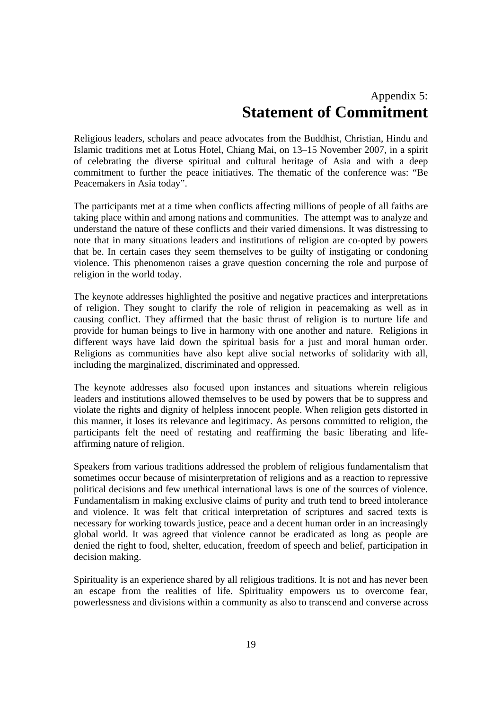## Appendix 5: **Statement of Commitment**

Religious leaders, scholars and peace advocates from the Buddhist, Christian, Hindu and Islamic traditions met at Lotus Hotel, Chiang Mai, on 13–15 November 2007, in a spirit of celebrating the diverse spiritual and cultural heritage of Asia and with a deep commitment to further the peace initiatives. The thematic of the conference was: "Be Peacemakers in Asia today".

The participants met at a time when conflicts affecting millions of people of all faiths are taking place within and among nations and communities. The attempt was to analyze and understand the nature of these conflicts and their varied dimensions. It was distressing to note that in many situations leaders and institutions of religion are co-opted by powers that be. In certain cases they seem themselves to be guilty of instigating or condoning violence. This phenomenon raises a grave question concerning the role and purpose of religion in the world today.

The keynote addresses highlighted the positive and negative practices and interpretations of religion. They sought to clarify the role of religion in peacemaking as well as in causing conflict. They affirmed that the basic thrust of religion is to nurture life and provide for human beings to live in harmony with one another and nature. Religions in different ways have laid down the spiritual basis for a just and moral human order. Religions as communities have also kept alive social networks of solidarity with all, including the marginalized, discriminated and oppressed.

The keynote addresses also focused upon instances and situations wherein religious leaders and institutions allowed themselves to be used by powers that be to suppress and violate the rights and dignity of helpless innocent people. When religion gets distorted in this manner, it loses its relevance and legitimacy. As persons committed to religion, the participants felt the need of restating and reaffirming the basic liberating and lifeaffirming nature of religion.

Speakers from various traditions addressed the problem of religious fundamentalism that sometimes occur because of misinterpretation of religions and as a reaction to repressive political decisions and few unethical international laws is one of the sources of violence. Fundamentalism in making exclusive claims of purity and truth tend to breed intolerance and violence. It was felt that critical interpretation of scriptures and sacred texts is necessary for working towards justice, peace and a decent human order in an increasingly global world. It was agreed that violence cannot be eradicated as long as people are denied the right to food, shelter, education, freedom of speech and belief, participation in decision making.

Spirituality is an experience shared by all religious traditions. It is not and has never been an escape from the realities of life. Spirituality empowers us to overcome fear, powerlessness and divisions within a community as also to transcend and converse across